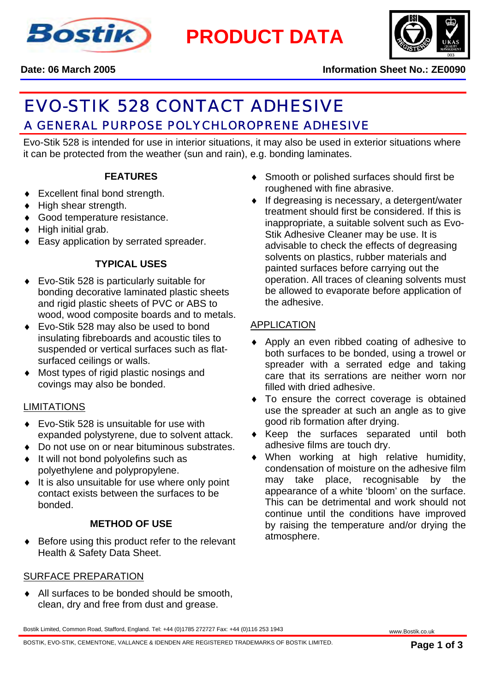

**PRODUCT DATA**



**Date: 06 March 2005 Information Sheet No.: ZE0090**

# <u>A GENERAL PURPOSE POLYCHLOROPRENE ADHESIVE. Although adhesive.</u> Although a green and a set of a green and a green EVO-STIK 528 CONTACT ADHESIVE

Evo-Stik 528 is intended for use in interior situations, it may also be used in exterior situations where it can be protected from the weather (sun and rain), e.g. bonding laminates.

# **FEATURES**

- ♦ Excellent final bond strength.
- ♦ High shear strength.
- ♦ Good temperature resistance.
- ♦ High initial grab.
- ♦ Easy application by serrated spreader.

# **TYPICAL USES**

- ♦ Evo-Stik 528 is particularly suitable for bonding decorative laminated plastic sheets and rigid plastic sheets of PVC or ABS to wood, wood composite boards and to metals.
- ♦ Evo-Stik 528 may also be used to bond insulating fibreboards and acoustic tiles to suspended or vertical surfaces such as flatsurfaced ceilings or walls.
- ♦ Most types of rigid plastic nosings and covings may also be bonded.

# LIMITATIONS

- ♦ Evo-Stik 528 is unsuitable for use with expanded polystyrene, due to solvent attack.
- ♦ Do not use on or near bituminous substrates.
- ♦ It will not bond polyolefins such as polyethylene and polypropylene.
- ♦ It is also unsuitable for use where only point contact exists between the surfaces to be bonded.

# **METHOD OF USE**

♦ Before using this product refer to the relevant Health & Safety Data Sheet.

#### SURFACE PREPARATION

♦ All surfaces to be bonded should be smooth, clean, dry and free from dust and grease.

Smooth or polished surfaces should first be roughened with fine abrasive.

♦ If degreasing is necessary, a detergent/water treatment should first be considered. If this is inappropriate, a suitable solvent such as Evo-Stik Adhesive Cleaner may be use. It is advisable to check the effects of degreasing solvents on plastics, rubber materials and painted surfaces before carrying out the operation. All traces of cleaning solvents must be allowed to evaporate before application of the adhesive.

## **APPLICATION**

- ♦ Apply an even ribbed coating of adhesive to both surfaces to be bonded, using a trowel or spreader with a serrated edge and taking care that its serrations are neither worn nor filled with dried adhesive.
- ♦ To ensure the correct coverage is obtained use the spreader at such an angle as to give good rib formation after drying.
- Keep the surfaces separated until both adhesive films are touch dry.
- When working at high relative humidity, condensation of moisture on the adhesive film may take place, recognisable by the appearance of a white 'bloom' on the surface. This can be detrimental and work should not continue until the conditions have improved by raising the temperature and/or drying the atmosphere.

Bostik Limited, Common Road, Stafford, England. Tel: +44 (0)1785 272727 Fax: +44 (0)116 253 1943 www.Bostik.co.uk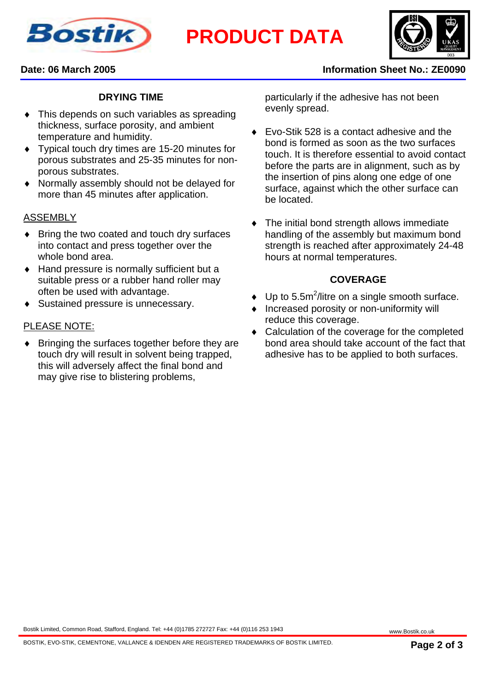

**PRODUCT DATA**



#### **Date: 06 March 2005 Information Sheet No.: ZE0090**

### **DRYING TIME**

- ♦ This depends on such variables as spreading thickness, surface porosity, and ambient temperature and humidity.
- Typical touch dry times are 15-20 minutes for porous substrates and 25-35 minutes for nonporous substrates.
- ♦ Normally assembly should not be delayed for more than 45 minutes after application.

#### ASSEMBLY

- ♦ Bring the two coated and touch dry surfaces into contact and press together over the whole bond area.
- ♦ Hand pressure is normally sufficient but a suitable press or a rubber hand roller may often be used with advantage.
- ♦ Sustained pressure is unnecessary.

#### PLEASE NOTE:

♦ Bringing the surfaces together before they are touch dry will result in solvent being trapped, this will adversely affect the final bond and may give rise to blistering problems.

particularly if the adhesive has not been evenly spread.

- Evo-Stik 528 is a contact adhesive and the bond is formed as soon as the two surfaces touch. It is therefore essential to avoid contact before the parts are in alignment, such as by the insertion of pins along one edge of one surface, against which the other surface can be located.
- The initial bond strength allows immediate handling of the assembly but maximum bond strength is reached after approximately 24-48 hours at normal temperatures.

#### **COVERAGE**

- $\bullet$  Up to 5.5m<sup>2</sup>/litre on a single smooth surface.
- ♦ Increased porosity or non-uniformity will reduce this coverage.
- ♦ Calculation of the coverage for the completed bond area should take account of the fact that adhesive has to be applied to both surfaces.